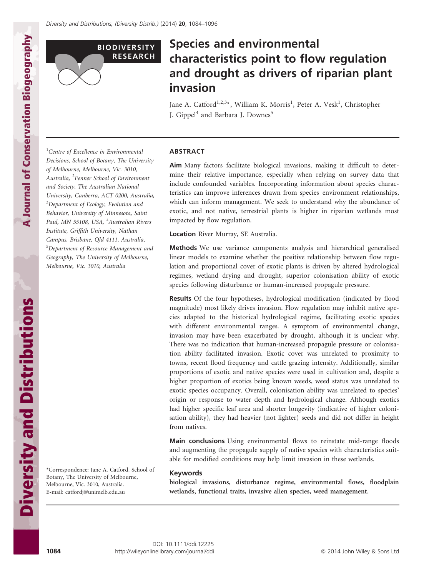

# Species and environmental characteristics point to flow regulation and drought as drivers of riparian plant invasion

Jane A. Catford<sup>1,2,3</sup>\*, William K. Morris<sup>1</sup>, Peter A. Vesk<sup>1</sup>, Christopher J. Gippel<sup>4</sup> and Barbara J. Downes<sup>5</sup>

<sup>1</sup>Centre of Excellence in Environmental Decisions, School of Botany, The University of Melbourne, Melbourne, Vic. 3010, Australia, <sup>2</sup>Fenner School of Environment and Society, The Australian National University, Canberra, ACT 0200, Australia, <sup>3</sup>Department of Ecology, Evolution and Behavior, University of Minnesota, Saint Paul, MN 55108, USA, <sup>4</sup>Australian Rivers Institute, Griffith University, Nathan Campus, Brisbane, Qld 4111, Australia, 5 Department of Resource Management and Geography, The University of Melbourne, Melbourne, Vic. 3010, Australia

## ABSTRACT

Aim Many factors facilitate biological invasions, making it difficult to determine their relative importance, especially when relying on survey data that include confounded variables. Incorporating information about species characteristics can improve inferences drawn from species–environment relationships, which can inform management. We seek to understand why the abundance of exotic, and not native, terrestrial plants is higher in riparian wetlands most impacted by flow regulation.

Location River Murray, SE Australia.

Methods We use variance components analysis and hierarchical generalised linear models to examine whether the positive relationship between flow regulation and proportional cover of exotic plants is driven by altered hydrological regimes, wetland drying and drought, superior colonisation ability of exotic species following disturbance or human-increased propagule pressure.

Results Of the four hypotheses, hydrological modification (indicated by flood magnitude) most likely drives invasion. Flow regulation may inhibit native species adapted to the historical hydrological regime, facilitating exotic species with different environmental ranges. A symptom of environmental change, invasion may have been exacerbated by drought, although it is unclear why. There was no indication that human-increased propagule pressure or colonisation ability facilitated invasion. Exotic cover was unrelated to proximity to towns, recent flood frequency and cattle grazing intensity. Additionally, similar proportions of exotic and native species were used in cultivation and, despite a higher proportion of exotics being known weeds, weed status was unrelated to exotic species occupancy. Overall, colonisation ability was unrelated to species' origin or response to water depth and hydrological change. Although exotics had higher specific leaf area and shorter longevity (indicative of higher colonisation ability), they had heavier (not lighter) seeds and did not differ in height from natives.

Main conclusions Using environmental flows to reinstate mid-range floods and augmenting the propagule supply of native species with characteristics suitable for modified conditions may help limit invasion in these wetlands.

#### Keywords

biological invasions, disturbance regime, environmental flows, floodplain wetlands, functional traits, invasive alien species, weed management.

A Journal of Conservation Biogeography

A Journal of Conservation Biogeography

\*Correspondence: Jane A. Catford, School of Botany, The University of Melbourne, Melbourne, Vic. 3010, Australia. E-mail: catfordj@unimelb.edu.au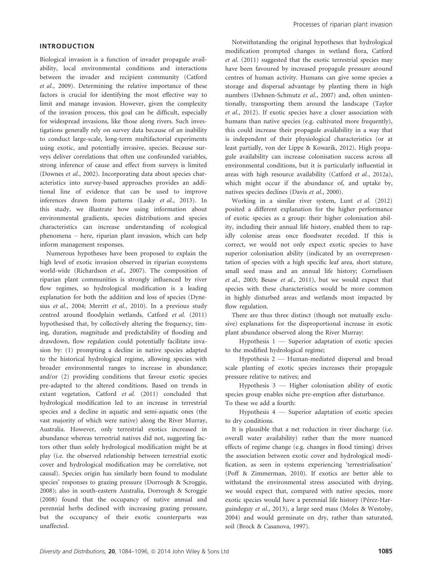## INTRODUCTION

Biological invasion is a function of invader propagule availability, local environmental conditions and interactions between the invader and recipient community (Catford et al., 2009). Determining the relative importance of these factors is crucial for identifying the most effective way to limit and manage invasion. However, given the complexity of the invasion process, this goal can be difficult, especially for widespread invasions, like those along rivers. Such investigations generally rely on survey data because of an inability to conduct large-scale, long-term multifactorial experiments using exotic, and potentially invasive, species. Because surveys deliver correlations that often use confounded variables, strong inference of cause and effect from surveys is limited (Downes et al., 2002). Incorporating data about species characteristics into survey-based approaches provides an additional line of evidence that can be used to improve inferences drawn from patterns (Lasky et al., 2013). In this study, we illustrate how using information about environmental gradients, species distributions and species characteristics can increase understanding of ecological phenomena – here, riparian plant invasion, which can help inform management responses.

Numerous hypotheses have been proposed to explain the high level of exotic invasion observed in riparian ecosystems world-wide (Richardson et al., 2007). The composition of riparian plant communities is strongly influenced by river flow regimes, so hydrological modification is a leading explanation for both the addition and loss of species (Dynesius et al., 2004; Merritt et al., 2010). In a previous study centred around floodplain wetlands, Catford et al. (2011) hypothesised that, by collectively altering the frequency, timing, duration, magnitude and predictability of flooding and drawdown, flow regulation could potentially facilitate invasion by: (1) prompting a decline in native species adapted to the historical hydrological regime, allowing species with broader environmental ranges to increase in abundance; and/or (2) providing conditions that favour exotic species pre-adapted to the altered conditions. Based on trends in extant vegetation, Catford et al. (2011) concluded that hydrological modification led to an increase in terrestrial species and a decline in aquatic and semi-aquatic ones (the vast majority of which were native) along the River Murray, Australia. However, only terrestrial exotics increased in abundance whereas terrestrial natives did not, suggesting factors other than solely hydrological modification might be at play (i.e. the observed relationship between terrestrial exotic cover and hydrological modification may be correlative, not causal). Species origin has similarly been found to modulate species' responses to grazing pressure (Dorrough & Scroggie, 2008); also in south-eastern Australia, Dorrough & Scroggie (2008) found that the occupancy of native annual and perennial herbs declined with increasing grazing pressure, but the occupancy of their exotic counterparts was unaffected.

Notwithstanding the original hypotheses that hydrological modification prompted changes in wetland flora, Catford et al. (2011) suggested that the exotic terrestrial species may have been favoured by increased propagule pressure around centres of human activity. Humans can give some species a storage and dispersal advantage by planting them in high numbers (Dehnen-Schmutz et al., 2007) and, often unintentionally, transporting them around the landscape (Taylor et al., 2012). If exotic species have a closer association with humans than native species (e.g. cultivated more frequently), this could increase their propagule availability in a way that is independent of their physiological characteristics (or at least partially, von der Lippe & Kowarik, 2012). High propagule availability can increase colonisation success across all environmental conditions, but it is particularly influential in areas with high resource availability (Catford et al., 2012a), which might occur if the abundance of, and uptake by, natives species declines (Davis et al., 2000).

Working in a similar river system, Lunt et al. (2012) posited a different explanation for the higher performance of exotic species as a group: their higher colonisation ability, including their annual life history, enabled them to rapidly colonise areas once floodwater receded. If this is correct, we would not only expect exotic species to have superior colonisation ability (indicated by an overrepresentation of species with a high specific leaf area, short stature, small seed mass and an annual life history; Cornelissen et al., 2003; Besaw et al., 2011), but we would expect that species with these characteristics would be more common in highly disturbed areas and wetlands most impacted by flow regulation.

There are thus three distinct (though not mutually exclusive) explanations for the disproportional increase in exotic plant abundance observed along the River Murray:

Hypothesis 1 — Superior adaptation of exotic species to the modified hydrological regime;

Hypothesis 2 — Human-mediated dispersal and broad scale planting of exotic species increases their propagule pressure relative to natives; and

Hypothesis 3 — Higher colonisation ability of exotic species group enables niche pre-emption after disturbance. To these we add a fourth:

Hypothesis 4 — Superior adaptation of exotic species to dry conditions.

It is plausible that a net reduction in river discharge (i.e. overall water availability) rather than the more nuanced effects of regime change (e.g. changes in flood timing) drives the association between exotic cover and hydrological modification, as seen in systems experiencing 'terrestrialisation' (Poff & Zimmerman, 2010). If exotics are better able to withstand the environmental stress associated with drying, we would expect that, compared with native species, more exotic species would have a perennial life history (Pérez-Harguindeguy et al., 2013), a large seed mass (Moles & Westoby, 2004) and would germinate on dry, rather than saturated, soil (Brock & Casanova, 1997).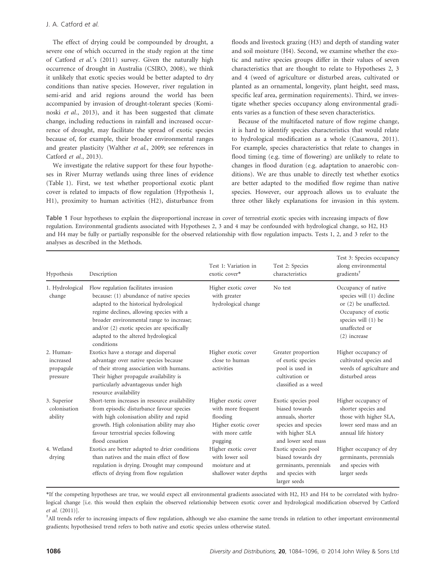The effect of drying could be compounded by drought, a severe one of which occurred in the study region at the time of Catford et al.'s (2011) survey. Given the naturally high occurrence of drought in Australia (CSIRO, 2008), we think it unlikely that exotic species would be better adapted to dry conditions than native species. However, river regulation in semi-arid and arid regions around the world has been accompanied by invasion of drought-tolerant species (Kominoski et al., 2013), and it has been suggested that climate change, including reductions in rainfall and increased occurrence of drought, may facilitate the spread of exotic species because of, for example, their broader environmental ranges and greater plasticity (Walther et al., 2009; see references in Catford et al., 2013).

We investigate the relative support for these four hypotheses in River Murray wetlands using three lines of evidence (Table 1). First, we test whether proportional exotic plant cover is related to impacts of flow regulation (Hypothesis 1, H1), proximity to human activities (H2), disturbance from

floods and livestock grazing (H3) and depth of standing water and soil moisture (H4). Second, we examine whether the exotic and native species groups differ in their values of seven characteristics that are thought to relate to Hypotheses 2, 3 and 4 (weed of agriculture or disturbed areas, cultivated or planted as an ornamental, longevity, plant height, seed mass, specific leaf area, germination requirements). Third, we investigate whether species occupancy along environmental gradients varies as a function of these seven characteristics.

Because of the multifaceted nature of flow regime change, it is hard to identify species characteristics that would relate to hydrological modification as a whole (Casanova, 2011). For example, species characteristics that relate to changes in flood timing (e.g. time of flowering) are unlikely to relate to changes in flood duration (e.g. adaptation to anaerobic conditions). We are thus unable to directly test whether exotics are better adapted to the modified flow regime than native species. However, our approach allows us to evaluate the three other likely explanations for invasion in this system.

Table 1 Four hypotheses to explain the disproportional increase in cover of terrestrial exotic species with increasing impacts of flow regulation. Environmental gradients associated with Hypotheses 2, 3 and 4 may be confounded with hydrological change, so H2, H3 and H4 may be fully or partially responsible for the observed relationship with flow regulation impacts. Tests 1, 2, and 3 refer to the analyses as described in the Methods.

| Hypothesis                                      | Description                                                                                                                                                                                                                                                                                                           | Test 1: Variation in<br>exotic cover*                                                                       | Test 2: Species<br>characteristics                                                                                         | Test 3: Species occupancy<br>along environmental<br>gradients <sup>†</sup>                                                                              |
|-------------------------------------------------|-----------------------------------------------------------------------------------------------------------------------------------------------------------------------------------------------------------------------------------------------------------------------------------------------------------------------|-------------------------------------------------------------------------------------------------------------|----------------------------------------------------------------------------------------------------------------------------|---------------------------------------------------------------------------------------------------------------------------------------------------------|
| 1. Hydrological<br>change                       | Flow regulation facilitates invasion<br>because: (1) abundance of native species<br>adapted to the historical hydrological<br>regime declines, allowing species with a<br>broader environmental range to increase;<br>and/or (2) exotic species are specifically<br>adapted to the altered hydrological<br>conditions | Higher exotic cover<br>with greater<br>hydrological change                                                  | No test                                                                                                                    | Occupancy of native<br>species will (1) decline<br>or (2) be unaffected.<br>Occupancy of exotic<br>species will (1) be<br>unaffected or<br>(2) increase |
| 2. Human-<br>increased<br>propagule<br>pressure | Exotics have a storage and dispersal<br>advantage over native species because<br>of their strong association with humans.<br>Their higher propagule availability is<br>particularly advantageous under high<br>resource availability                                                                                  | Higher exotic cover<br>close to human<br>activities                                                         | Greater proportion<br>of exotic species<br>pool is used in<br>cultivation or<br>classified as a weed                       | Higher occupancy of<br>cultivated species and<br>weeds of agriculture and<br>disturbed areas                                                            |
| 3. Superior<br>colonisation<br>ability          | Short-term increases in resource availability<br>from episodic disturbance favour species<br>with high colonisation ability and rapid<br>growth. High colonisation ability may also<br>favour terrestrial species following<br>flood cessation                                                                        | Higher exotic cover<br>with more frequent<br>flooding<br>Higher exotic cover<br>with more cattle<br>pugging | Exotic species pool<br>biased towards<br>annuals, shorter<br>species and species<br>with higher SLA<br>and lower seed mass | Higher occupancy of<br>shorter species and<br>those with higher SLA,<br>lower seed mass and an<br>annual life history                                   |
| 4. Wetland<br>drying                            | Exotics are better adapted to drier conditions<br>than natives and the main effect of flow<br>regulation is drying. Drought may compound<br>effects of drying from flow regulation                                                                                                                                    | Higher exotic cover<br>with lower soil<br>moisture and at<br>shallower water depths                         | Exotic species pool<br>biased towards dry<br>germinants, perennials<br>and species with<br>larger seeds                    | Higher occupancy of dry<br>germinants, perennials<br>and species with<br>larger seeds                                                                   |

\*If the competing hypotheses are true, we would expect all environmental gradients associated with H2, H3 and H4 to be correlated with hydrological change [i.e. this would then explain the observed relationship between exotic cover and hydrological modification observed by Catford et al. (2011)].

† All trends refer to increasing impacts of flow regulation, although we also examine the same trends in relation to other important environmental gradients; hypothesised trend refers to both native and exotic species unless otherwise stated.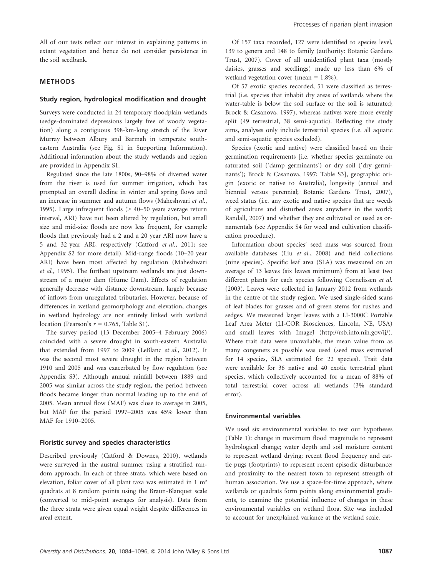All of our tests reflect our interest in explaining patterns in extant vegetation and hence do not consider persistence in the soil seedbank.

# METHODS

#### Study region, hydrological modification and drought

Surveys were conducted in 24 temporary floodplain wetlands (sedge-dominated depressions largely free of woody vegetation) along a contiguous 398-km-long stretch of the River Murray between Albury and Barmah in temperate southeastern Australia (see Fig. S1 in Supporting Information). Additional information about the study wetlands and region are provided in Appendix S1.

Regulated since the late 1800s, 90–98% of diverted water from the river is used for summer irrigation, which has prompted an overall decline in winter and spring flows and an increase in summer and autumn flows (Maheshwari et al., 1995). Large infrequent floods (> 40–50 years average return interval, ARI) have not been altered by regulation, but small size and mid-size floods are now less frequent, for example floods that previously had a 2 and a 20 year ARI now have a 5 and 32 year ARI, respectively (Catford et al., 2011; see Appendix S2 for more detail). Mid-range floods (10–20 year ARI) have been most affected by regulation (Maheshwari et al., 1995). The furthest upstream wetlands are just downstream of a major dam (Hume Dam). Effects of regulation generally decrease with distance downstream, largely because of inflows from unregulated tributaries. However, because of differences in wetland geomorphology and elevation, changes in wetland hydrology are not entirely linked with wetland location (Pearson's  $r = 0.765$ , Table S1).

The survey period (13 December 2005–4 February 2006) coincided with a severe drought in south-eastern Australia that extended from 1997 to 2009 (LeBlanc et al., 2012). It was the second most severe drought in the region between 1910 and 2005 and was exacerbated by flow regulation (see Appendix S3). Although annual rainfall between 1889 and 2005 was similar across the study region, the period between floods became longer than normal leading up to the end of 2005. Mean annual flow (MAF) was close to average in 2005, but MAF for the period 1997–2005 was 45% lower than MAF for 1910–2005.

### Floristic survey and species characteristics

Described previously (Catford & Downes, 2010), wetlands were surveyed in the austral summer using a stratified random approach. In each of three strata, which were based on elevation, foliar cover of all plant taxa was estimated in 1 m² quadrats at 8 random points using the Braun-Blanquet scale (converted to mid-point averages for analysis). Data from the three strata were given equal weight despite differences in areal extent.

Of 157 taxa recorded, 127 were identified to species level, 139 to genera and 148 to family (authority: Botanic Gardens Trust, 2007). Cover of all unidentified plant taxa (mostly daisies, grasses and seedlings) made up less than 6% of wetland vegetation cover (mean = 1.8%).

Of 57 exotic species recorded, 51 were classified as terrestrial (i.e. species that inhabit dry areas of wetlands where the water-table is below the soil surface or the soil is saturated; Brock & Casanova, 1997), whereas natives were more evenly split (49 terrestrial, 38 semi-aquatic). Reflecting the study aims, analyses only include terrestrial species (i.e. all aquatic and semi-aquatic species excluded).

Species (exotic and native) were classified based on their germination requirements [i.e. whether species germinate on saturated soil ('damp germinants') or dry soil ('dry germinants'); Brock & Casanova, 1997; Table S3], geographic origin (exotic or native to Australia), longevity (annual and biennial versus perennial; Botanic Gardens Trust, 2007), weed status (i.e. any exotic and native species that are weeds of agriculture and disturbed areas anywhere in the world; Randall, 2007) and whether they are cultivated or used as ornamentals (see Appendix S4 for weed and cultivation classification procedure).

Information about species' seed mass was sourced from available databases (Liu et al., 2008) and field collections (nine species). Specific leaf area (SLA) was measured on an average of 13 leaves (six leaves minimum) from at least two different plants for each species following Cornelissen et al. (2003). Leaves were collected in January 2012 from wetlands in the centre of the study region. We used single-sided scans of leaf blades for grasses and of green stems for rushes and sedges. We measured larger leaves with a LI-3000C Portable Leaf Area Meter (LI-COR Biosciences, Lincoln, NE, USA) and small leaves with ImageJ (http://rsb.info.nih.gov/ij/). Where trait data were unavailable, the mean value from as many congeners as possible was used (seed mass estimated for 14 species, SLA estimated for 22 species). Trait data were available for 36 native and 40 exotic terrestrial plant species, which collectively accounted for a mean of 88% of total terrestrial cover across all wetlands (3% standard error).

#### Environmental variables

We used six environmental variables to test our hypotheses (Table 1): change in maximum flood magnitude to represent hydrological change; water depth and soil moisture content to represent wetland drying; recent flood frequency and cattle pugs (footprints) to represent recent episodic disturbance; and proximity to the nearest town to represent strength of human association. We use a space-for-time approach, where wetlands or quadrats form points along environmental gradients, to examine the potential influence of changes in these environmental variables on wetland flora. Site was included to account for unexplained variance at the wetland scale.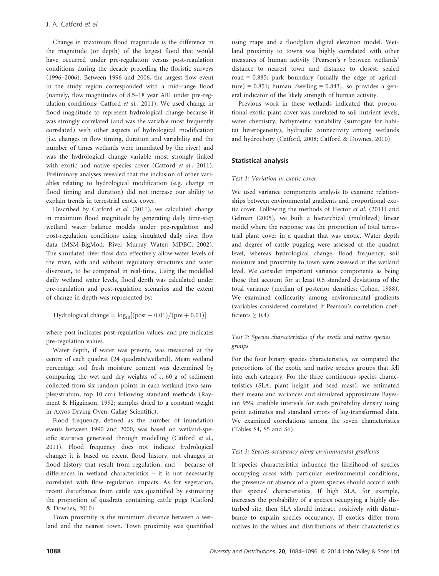Change in maximum flood magnitude is the difference in the magnitude (or depth) of the largest flood that would have occurred under pre-regulation versus post-regulation conditions during the decade preceding the floristic surveys (1996–2006). Between 1996 and 2006, the largest flow event in the study region corresponded with a mid-range flood (namely, flow magnitudes of 8.5–18 year ARI under pre-regulation conditions; Catford et al., 2011). We used change in flood magnitude to represent hydrological change because it was strongly correlated (and was the variable most frequently correlated) with other aspects of hydrological modification (i.e. changes in flow timing, duration and variability and the number of times wetlands were inundated by the river) and was the hydrological change variable most strongly linked with exotic and native species cover (Catford et al., 2011). Preliminary analyses revealed that the inclusion of other variables relating to hydrological modification (e.g. change in flood timing and duration) did not increase our ability to explain trends in terrestrial exotic cover.

Described by Catford et al. (2011), we calculated change in maximum flood magnitude by generating daily time-step wetland water balance models under pre-regulation and post-regulation conditions using simulated daily river flow data (MSM-BigMod, River Murray Water; MDBC, 2002). The simulated river flow data effectively allow water levels of the river, with and without regulatory structures and water diversion, to be compared in real-time. Using the modelled daily wetland water levels, flood depth was calculated under pre-regulation and post-regulation scenarios and the extent of change in depth was represented by:

Hydrological change  $= \log_{10}[(\text{post} + 0.01)/(\text{pre} + 0.01)]$ 

where post indicates post-regulation values, and pre indicates pre-regulation values.

Water depth, if water was present, was measured at the centre of each quadrat (24 quadrats/wetland). Mean wetland percentage soil fresh moisture content was determined by comparing the wet and dry weights of  $c$ . 60 g of sediment collected from six random points in each wetland (two samples/stratum, top 10 cm) following standard methods (Rayment & Higginson, 1992; samples dried to a constant weight in Axyos Drying Oven, Gallay Scientific).

Flood frequency, defined as the number of inundation events between 1990 and 2000, was based on wetland-specific statistics generated through modelling (Catford et al., 2011). Flood frequency does not indicate hydrological change: it is based on recent flood history, not changes in flood history that result from regulation, and – because of differences in wetland characteristics – it is not necessarily correlated with flow regulation impacts. As for vegetation, recent disturbance from cattle was quantified by estimating the proportion of quadrats containing cattle pugs (Catford & Downes, 2010).

Town proximity is the minimum distance between a wetland and the nearest town. Town proximity was quantified using maps and a floodplain digital elevation model. Wetland proximity to towns was highly correlated with other measures of human activity [Pearson's r between wetlands' distance to nearest town and distance to closest: sealed road  $= 0.885$ ; park boundary (usually the edge of agriculture) =  $0.851$ ; human dwelling =  $0.843$ ], so provides a general indicator of the likely strength of human activity.

Previous work in these wetlands indicated that proportional exotic plant cover was unrelated to soil nutrient levels, water chemistry, bathymetric variability (surrogate for habitat heterogeneity), hydraulic connectivity among wetlands and hydrochory (Catford, 2008; Catford & Downes, 2010).

#### Statistical analysis

#### Test 1: Variation in exotic cover

We used variance components analysis to examine relationships between environmental gradients and proportional exotic cover. Following the methods of Hector et al. (2011) and Gelman (2005), we built a hierarchical (multilevel) linear model where the response was the proportion of total terrestrial plant cover in a quadrat that was exotic. Water depth and degree of cattle pugging were assessed at the quadrat level, whereas hydrological change, flood frequency, soil moisture and proximity to town were assessed at the wetland level. We consider important variance components as being those that account for at least 0.5 standard deviations of the total variance (median of posterior densities; Cohen, 1988). We examined collinearity among environmental gradients (variables considered correlated if Pearson's correlation coefficients  $> 0.4$ ).

## Test 2: Species characteristics of the exotic and native species groups

For the four binary species characteristics, we compared the proportions of the exotic and native species groups that fell into each category. For the three continuous species characteristics (SLA, plant height and seed mass), we estimated their means and variances and simulated approximate Bayesian 95% credible intervals for each probability density using point estimates and standard errors of log-transformed data. We examined correlations among the seven characteristics (Tables S4, S5 and S6).

#### Test 3: Species occupancy along environmental gradients

If species characteristics influence the likelihood of species occupying areas with particular environmental conditions, the presence or absence of a given species should accord with that species' characteristics. If high SLA, for example, increases the probability of a species occupying a highly disturbed site, then SLA should interact positively with disturbance to explain species occupancy. If exotics differ from natives in the values and distributions of their characteristics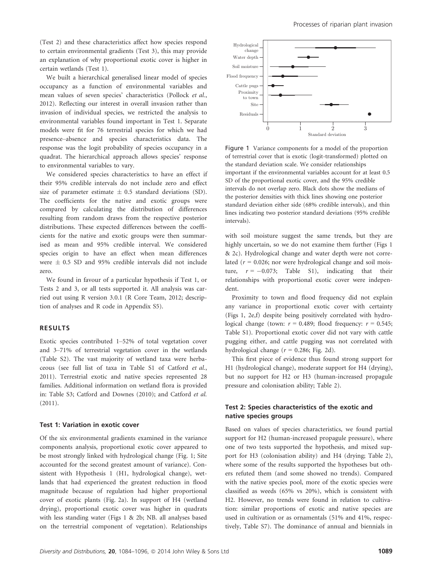(Test 2) and these characteristics affect how species respond to certain environmental gradients (Test 3), this may provide an explanation of why proportional exotic cover is higher in certain wetlands (Test 1).

We built a hierarchical generalised linear model of species occupancy as a function of environmental variables and mean values of seven species' characteristics (Pollock et al., 2012). Reflecting our interest in overall invasion rather than invasion of individual species, we restricted the analysis to environmental variables found important in Test 1. Separate models were fit for 76 terrestrial species for which we had presence–absence and species characteristics data. The response was the logit probability of species occupancy in a quadrat. The hierarchical approach allows species' response to environmental variables to vary.

We considered species characteristics to have an effect if their 95% credible intervals do not include zero and effect size of parameter estimate  $\pm$  0.5 standard deviations (SD). The coefficients for the native and exotic groups were compared by calculating the distribution of differences resulting from random draws from the respective posterior distributions. These expected differences between the coefficients for the native and exotic groups were then summarised as mean and 95% credible interval. We considered species origin to have an effect when mean differences were  $\pm$  0.5 SD and 95% credible intervals did not include zero.

We found in favour of a particular hypothesis if Test 1, or Tests 2 and 3, or all tests supported it. All analysis was carried out using R version 3.0.1 (R Core Team, 2012; description of analyses and R code in Appendix S5).

## RESULTS

Exotic species contributed 1–52% of total vegetation cover and 3–71% of terrestrial vegetation cover in the wetlands (Table S2). The vast majority of wetland taxa were herbaceous (see full list of taxa in Table S1 of Catford et al., 2011). Terrestrial exotic and native species represented 28 families. Additional information on wetland flora is provided in: Table S3; Catford and Downes (2010); and Catford et al. (2011).

#### Test 1: Variation in exotic cover

Of the six environmental gradients examined in the variance components analysis, proportional exotic cover appeared to be most strongly linked with hydrological change (Fig. 1; Site accounted for the second greatest amount of variance). Consistent with Hypothesis 1 (H1, hydrological change), wetlands that had experienced the greatest reduction in flood magnitude because of regulation had higher proportional cover of exotic plants (Fig. 2a). In support of H4 (wetland drying), proportional exotic cover was higher in quadrats with less standing water (Figs 1 & 2b; NB. all analyses based on the terrestrial component of vegetation). Relationships



Figure 1 Variance components for a model of the proportion of terrestrial cover that is exotic (logit-transformed) plotted on the standard deviation scale. We consider relationships important if the environmental variables account for at least 0.5 SD of the proportional exotic cover, and the 95% credible intervals do not overlap zero. Black dots show the medians of the posterior densities with thick lines showing one posterior standard deviation either side (68% credible intervals), and thin lines indicating two posterior standard deviations (95% credible intervals).

with soil moisture suggest the same trends, but they are highly uncertain, so we do not examine them further (Figs 1 & 2c). Hydrological change and water depth were not correlated ( $r = 0.026$ ; nor were hydrological change and soil moisture,  $r = -0.073$ ; Table S1), indicating that their relationships with proportional exotic cover were independent.

Proximity to town and flood frequency did not explain any variance in proportional exotic cover with certainty (Figs 1, 2e,f) despite being positively correlated with hydrological change (town:  $r = 0.489$ ; flood frequency:  $r = 0.545$ ; Table S1). Proportional exotic cover did not vary with cattle pugging either, and cattle pugging was not correlated with hydrological change ( $r = 0.286$ ; Fig. 2d).

This first piece of evidence thus found strong support for H1 (hydrological change), moderate support for H4 (drying), but no support for H2 or H3 (human-increased propagule pressure and colonisation ability; Table 2).

## Test 2: Species characteristics of the exotic and native species groups

Based on values of species characteristics, we found partial support for H2 (human-increased propagule pressure), where one of two tests supported the hypothesis, and mixed support for H3 (colonisation ability) and H4 (drying; Table 2), where some of the results supported the hypotheses but others refuted them (and some showed no trends). Compared with the native species pool, more of the exotic species were classified as weeds (65% vs 20%), which is consistent with H2. However, no trends were found in relation to cultivation: similar proportions of exotic and native species are used in cultivation or as ornamentals (51% and 41%, respectively, Table S7). The dominance of annual and biennials in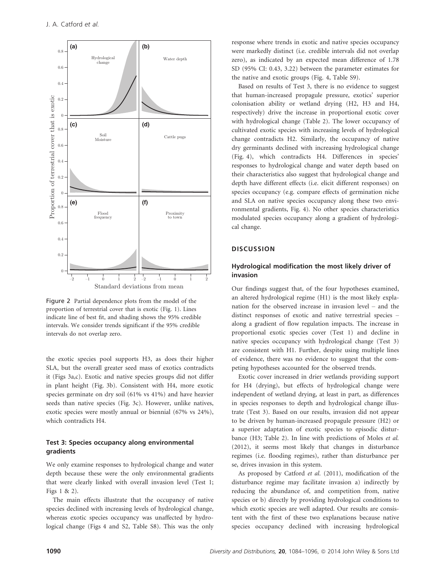

Figure 2 Partial dependence plots from the model of the proportion of terrestrial cover that is exotic (Fig. 1). Lines indicate line of best fit, and shading shows the 95% credible intervals. We consider trends significant if the 95% credible intervals do not overlap zero.

the exotic species pool supports H3, as does their higher SLA, but the overall greater seed mass of exotics contradicts it (Figs 3a,c). Exotic and native species groups did not differ in plant height (Fig. 3b). Consistent with H4, more exotic species germinate on dry soil (61% vs 41%) and have heavier seeds than native species (Fig. 3c). However, unlike natives, exotic species were mostly annual or biennial (67% vs 24%), which contradicts H4.

# Test 3: Species occupancy along environmental gradients

We only examine responses to hydrological change and water depth because these were the only environmental gradients that were clearly linked with overall invasion level (Test 1; Figs 1 & 2).

The main effects illustrate that the occupancy of native species declined with increasing levels of hydrological change, whereas exotic species occupancy was unaffected by hydrological change (Figs 4 and S2, Table S8). This was the only

response where trends in exotic and native species occupancy were markedly distinct (i.e. credible intervals did not overlap zero), as indicated by an expected mean difference of 1.78 SD (95% CI: 0.43, 3.22) between the parameter estimates for the native and exotic groups (Fig. 4, Table S9).

Based on results of Test 3, there is no evidence to suggest that human-increased propagule pressure, exotics' superior colonisation ability or wetland drying (H2, H3 and H4, respectively) drive the increase in proportional exotic cover with hydrological change (Table 2). The lower occupancy of cultivated exotic species with increasing levels of hydrological change contradicts H2. Similarly, the occupancy of native dry germinants declined with increasing hydrological change (Fig. 4), which contradicts H4. Differences in species' responses to hydrological change and water depth based on their characteristics also suggest that hydrological change and depth have different effects (i.e. elicit different responses) on species occupancy (e.g. compare effects of germination niche and SLA on native species occupancy along these two environmental gradients, Fig. 4). No other species characteristics modulated species occupancy along a gradient of hydrological change.

## **DISCUSSION**

## Hydrological modification the most likely driver of invasion

Our findings suggest that, of the four hypotheses examined, an altered hydrological regime (H1) is the most likely explanation for the observed increase in invasion level – and the distinct responses of exotic and native terrestrial species – along a gradient of flow regulation impacts. The increase in proportional exotic species cover (Test 1) and decline in native species occupancy with hydrological change (Test 3) are consistent with H1. Further, despite using multiple lines of evidence, there was no evidence to suggest that the competing hypotheses accounted for the observed trends.

Exotic cover increased in drier wetlands providing support for H4 (drying), but effects of hydrological change were independent of wetland drying, at least in part, as differences in species responses to depth and hydrological change illustrate (Test 3). Based on our results, invasion did not appear to be driven by human-increased propagule pressure (H2) or a superior adaptation of exotic species to episodic disturbance (H3; Table 2). In line with predictions of Moles et al. (2012), it seems most likely that changes in disturbance regimes (i.e. flooding regimes), rather than disturbance per se, drives invasion in this system.

As proposed by Catford et al. (2011), modification of the disturbance regime may facilitate invasion a) indirectly by reducing the abundance of, and competition from, native species or b) directly by providing hydrological conditions to which exotic species are well adapted. Our results are consistent with the first of these two explanations because native species occupancy declined with increasing hydrological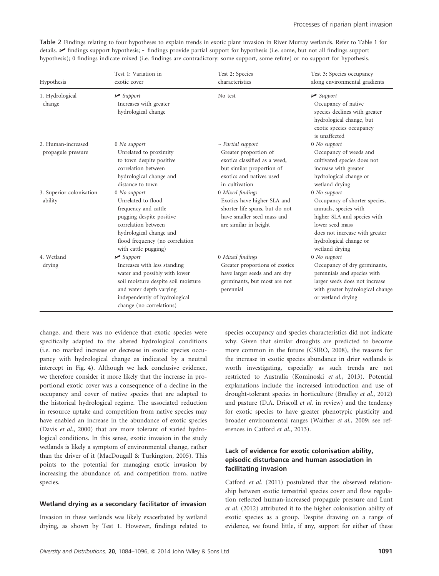| Hypothesis                               | Test 1: Variation in<br>exotic cover                                                                                                                                                                                     | Test 2: Species<br>characteristics                                                                                                                          | Test 3: Species occupancy<br>along environmental gradients                                                                                                                                             |
|------------------------------------------|--------------------------------------------------------------------------------------------------------------------------------------------------------------------------------------------------------------------------|-------------------------------------------------------------------------------------------------------------------------------------------------------------|--------------------------------------------------------------------------------------------------------------------------------------------------------------------------------------------------------|
| 1. Hydrological<br>change                | $\triangleright$ Support<br>Increases with greater<br>hydrological change                                                                                                                                                | No test                                                                                                                                                     | $\triangleright$ Support<br>Occupancy of native<br>species declines with greater<br>hydrological change, but<br>exotic species occupancy<br>is unaffected                                              |
| 2. Human-increased<br>propagule pressure | 0 No support<br>Unrelated to proximity<br>to town despite positive<br>correlation between<br>hydrological change and<br>distance to town                                                                                 | $\sim$ Partial support<br>Greater proportion of<br>exotics classified as a weed,<br>but similar proportion of<br>exotics and natives used<br>in cultivation | 0 No support<br>Occupancy of weeds and<br>cultivated species does not<br>increase with greater<br>hydrological change or<br>wetland drying                                                             |
| 3. Superior colonisation<br>ability      | 0 No support<br>Unrelated to flood<br>frequency and cattle<br>pugging despite positive<br>correlation between<br>hydrological change and<br>flood frequency (no correlation<br>with cattle pugging)                      | 0 Mixed findings<br>Exotics have higher SLA and<br>shorter life spans, but do not<br>have smaller seed mass and<br>are similar in height                    | 0 No support<br>Occupancy of shorter species,<br>annuals, species with<br>higher SLA and species with<br>lower seed mass<br>does not increase with greater<br>hydrological change or<br>wetland drying |
| 4. Wetland<br>drying                     | $\triangleright$ Support<br>Increases with less standing<br>water and possibly with lower<br>soil moisture despite soil moisture<br>and water depth varying<br>independently of hydrological<br>change (no correlations) | 0 Mixed findings<br>Greater proportions of exotics<br>have larger seeds and are dry<br>germinants, but most are not<br>perennial                            | 0 No support<br>Occupancy of dry germinants,<br>perennials and species with<br>larger seeds does not increase<br>with greater hydrological change<br>or wetland drying                                 |

Table 2 Findings relating to four hypotheses to explain trends in exotic plant invasion in River Murray wetlands. Refer to Table 1 for details.  $\blacktriangleright$  findings support hypothesis;  $\sim$  findings provide partial support for hypothesis (i.e. some, but not all findings support hypothesis); 0 findings indicate mixed (i.e. findings are contradictory: some support, some refute) or no support for hypothesis.

change, and there was no evidence that exotic species were specifically adapted to the altered hydrological conditions (i.e. no marked increase or decrease in exotic species occupancy with hydrological change as indicated by a neutral intercept in Fig. 4). Although we lack conclusive evidence, we therefore consider it more likely that the increase in proportional exotic cover was a consequence of a decline in the occupancy and cover of native species that are adapted to the historical hydrological regime. The associated reduction in resource uptake and competition from native species may have enabled an increase in the abundance of exotic species (Davis et al., 2000) that are more tolerant of varied hydrological conditions. In this sense, exotic invasion in the study wetlands is likely a symptom of environmental change, rather than the driver of it (MacDougall & Turkington, 2005). This points to the potential for managing exotic invasion by increasing the abundance of, and competition from, native species.

#### Wetland drying as a secondary facilitator of invasion

Invasion in these wetlands was likely exacerbated by wetland drying, as shown by Test 1. However, findings related to species occupancy and species characteristics did not indicate why. Given that similar droughts are predicted to become more common in the future (CSIRO, 2008), the reasons for the increase in exotic species abundance in drier wetlands is worth investigating, especially as such trends are not restricted to Australia (Kominoski et al., 2013). Potential explanations include the increased introduction and use of drought-tolerant species in horticulture (Bradley et al., 2012) and pasture (D.A. Driscoll et al. in review) and the tendency for exotic species to have greater phenotypic plasticity and broader environmental ranges (Walther et al., 2009; see references in Catford et al., 2013).

# Lack of evidence for exotic colonisation ability, episodic disturbance and human association in facilitating invasion

Catford et al. (2011) postulated that the observed relationship between exotic terrestrial species cover and flow regulation reflected human-increased propagule pressure and Lunt et al. (2012) attributed it to the higher colonisation ability of exotic species as a group. Despite drawing on a range of evidence, we found little, if any, support for either of these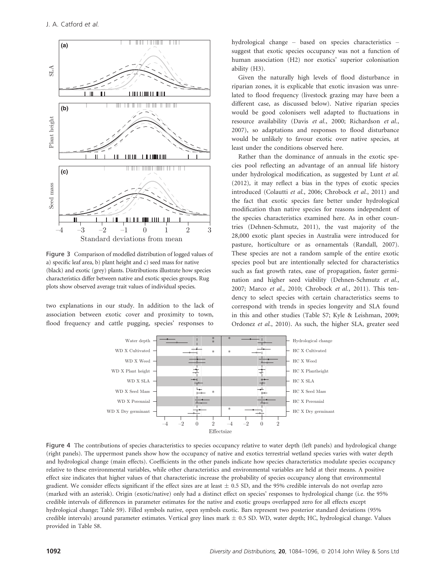

Figure 3 Comparison of modelled distribution of logged values of a) specific leaf area, b) plant height and c) seed mass for native (black) and exotic (grey) plants. Distributions illustrate how species characteristics differ between native and exotic species groups. Rug plots show observed average trait values of individual species.

two explanations in our study. In addition to the lack of association between exotic cover and proximity to town, flood frequency and cattle pugging, species' responses to

hydrological change – based on species characteristics – suggest that exotic species occupancy was not a function of human association (H2) nor exotics' superior colonisation ability (H3).

Given the naturally high levels of flood disturbance in riparian zones, it is explicable that exotic invasion was unrelated to flood frequency (livestock grazing may have been a different case, as discussed below). Native riparian species would be good colonisers well adapted to fluctuations in resource availability (Davis et al., 2000; Richardson et al., 2007), so adaptations and responses to flood disturbance would be unlikely to favour exotic over native species, at least under the conditions observed here.

Rather than the dominance of annuals in the exotic species pool reflecting an advantage of an annual life history under hydrological modification, as suggested by Lunt et al. (2012), it may reflect a bias in the types of exotic species introduced (Colautti et al., 2006; Chrobock et al., 2011) and the fact that exotic species fare better under hydrological modification than native species for reasons independent of the species characteristics examined here. As in other countries (Dehnen-Schmutz, 2011), the vast majority of the 28,000 exotic plant species in Australia were introduced for pasture, horticulture or as ornamentals (Randall, 2007). These species are not a random sample of the entire exotic species pool but are intentionally selected for characteristics such as fast growth rates, ease of propagation, faster germination and higher seed viability (Dehnen-Schmutz et al., 2007; Marco et al., 2010; Chrobock et al., 2011). This tendency to select species with certain characteristics seems to correspond with trends in species longevity and SLA found in this and other studies (Table S7; Kyle & Leishman, 2009; Ordonez et al., 2010). As such, the higher SLA, greater seed



Figure 4 The contributions of species characteristics to species occupancy relative to water depth (left panels) and hydrological change (right panels). The uppermost panels show how the occupancy of native and exotics terrestrial wetland species varies with water depth and hydrological change (main effects). Coefficients in the other panels indicate how species characteristics modulate species occupancy relative to these environmental variables, while other characteristics and environmental variables are held at their means. A positive effect size indicates that higher values of that characteristic increase the probability of species occupancy along that environmental gradient. We consider effects significant if the effect sizes are at least  $\pm$  0.5 SD, and the 95% credible intervals do not overlap zero (marked with an asterisk). Origin (exotic/native) only had a distinct effect on species' responses to hydrological change (i.e. the 95% credible intervals of differences in parameter estimates for the native and exotic groups overlapped zero for all effects except hydrological change; Table S9). Filled symbols native, open symbols exotic. Bars represent two posterior standard deviations (95% credible intervals) around parameter estimates. Vertical grey lines mark  $\pm$  0.5 SD. WD, water depth; HC, hydrological change. Values provided in Table S8.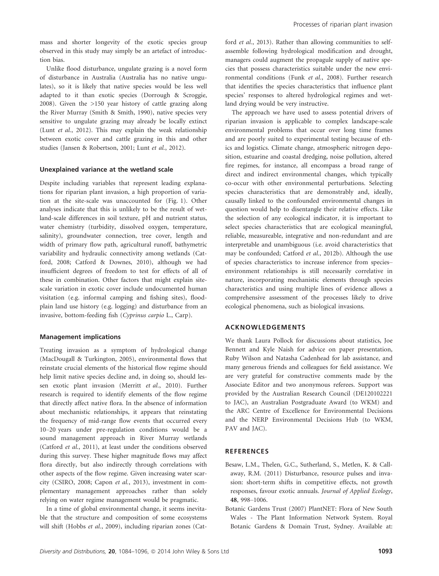mass and shorter longevity of the exotic species group observed in this study may simply be an artefact of introduction bias.

Unlike flood disturbance, ungulate grazing is a novel form of disturbance in Australia (Australia has no native ungulates), so it is likely that native species would be less well adapted to it than exotic species (Dorrough & Scroggie, 2008). Given the >150 year history of cattle grazing along the River Murray (Smith & Smith, 1990), native species very sensitive to ungulate grazing may already be locally extinct (Lunt et al., 2012). This may explain the weak relationship between exotic cover and cattle grazing in this and other studies (Jansen & Robertson, 2001; Lunt et al., 2012).

### Unexplained variance at the wetland scale

Despite including variables that represent leading explanations for riparian plant invasion, a high proportion of variation at the site-scale was unaccounted for (Fig. 1). Other analyses indicate that this is unlikely to be the result of wetland-scale differences in soil texture, pH and nutrient status, water chemistry (turbidity, dissolved oxygen, temperature, salinity), groundwater connection, tree cover, length and width of primary flow path, agricultural runoff, bathymetric variability and hydraulic connectivity among wetlands (Catford, 2008; Catford & Downes, 2010), although we had insufficient degrees of freedom to test for effects of all of these in combination. Other factors that might explain sitescale variation in exotic cover include undocumented human visitation (e.g. informal camping and fishing sites), floodplain land use history (e.g. logging) and disturbance from an invasive, bottom-feeding fish (Cyprinus carpio L., Carp).

#### Management implications

Treating invasion as a symptom of hydrological change (MacDougall & Turkington, 2005), environmental flows that reinstate crucial elements of the historical flow regime should help limit native species decline and, in doing so, should lessen exotic plant invasion (Merritt et al., 2010). Further research is required to identify elements of the flow regime that directly affect native flora. In the absence of information about mechanistic relationships, it appears that reinstating the frequency of mid-range flow events that occurred every 10–20 years under pre-regulation conditions would be a sound management approach in River Murray wetlands (Catford et al., 2011), at least under the conditions observed during this survey. These higher magnitude flows may affect flora directly, but also indirectly through correlations with other aspects of the flow regime. Given increasing water scarcity (CSIRO, 2008; Capon et al., 2013), investment in complementary management approaches rather than solely relying on water regime management would be pragmatic.

In a time of global environmental change, it seems inevitable that the structure and composition of some ecosystems will shift (Hobbs et al., 2009), including riparian zones (Catford *et al.*, 2013). Rather than allowing communities to selfassemble following hydrological modification and drought, managers could augment the propagule supply of native species that possess characteristics suitable under the new environmental conditions (Funk et al., 2008). Further research that identifies the species characteristics that influence plant species' responses to altered hydrological regimes and wetland drying would be very instructive.

The approach we have used to assess potential drivers of riparian invasion is applicable to complex landscape-scale environmental problems that occur over long time frames and are poorly suited to experimental testing because of ethics and logistics. Climate change, atmospheric nitrogen deposition, estuarine and coastal dredging, noise pollution, altered fire regimes, for instance, all encompass a broad range of direct and indirect environmental changes, which typically co-occur with other environmental perturbations. Selecting species characteristics that are demonstrably and, ideally, causally linked to the confounded environmental changes in question would help to disentangle their relative effects. Like the selection of any ecological indicator, it is important to select species characteristics that are ecological meaningful, reliable, measureable, integrative and non-redundant and are interpretable and unambiguous (i.e. avoid characteristics that may be confounded; Catford et al., 2012b). Although the use of species characteristics to increase inference from species– environment relationships is still necessarily correlative in nature, incorporating mechanistic elements through species characteristics and using multiple lines of evidence allows a comprehensive assessment of the processes likely to drive ecological phenomena, such as biological invasions.

### ACKNOWLEDGEMENTS

We thank Laura Pollock for discussions about statistics, Joe Bennett and Kyle Naish for advice on paper presentation, Ruby Wilson and Natasha Cadenhead for lab assistance, and many generous friends and colleagues for field assistance. We are very grateful for constructive comments made by the Associate Editor and two anonymous referees. Support was provided by the Australian Research Council (DE120102221 to JAC), an Australian Postgraduate Award (to WKM) and the ARC Centre of Excellence for Environmental Decisions and the NERP Environmental Decisions Hub (to WKM, PAV and JAC).

## REFERENCES

- Besaw, L.M., Thelen, G.C., Sutherland, S., Metlen, K. & Callaway, R.M. (2011) Disturbance, resource pulses and invasion: short-term shifts in competitive effects, not growth responses, favour exotic annuals. Journal of Applied Ecology, 48, 998–1006.
- Botanic Gardens Trust (2007) PlantNET: Flora of New South Wales - The Plant Information Network System. Royal Botanic Gardens & Domain Trust, Sydney. Available at: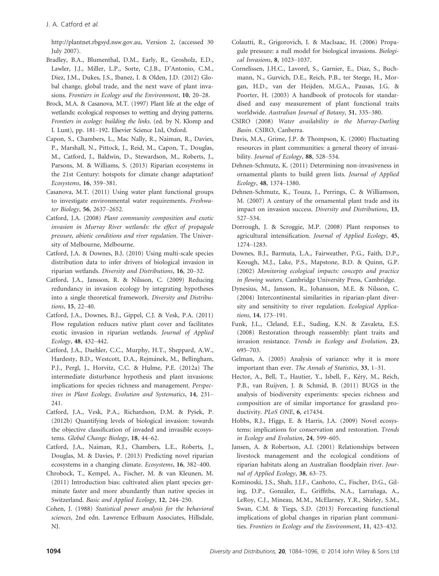http://plantnet.rbgsyd.nsw.gov.au, Version 2, (accessed 30 July 2007).

- Bradley, B.A., Blumenthal, D.M., Early, R., Grosholz, E.D., Lawler, J.J., Miller, L.P., Sorte, C.J.B., D'Antonio, C.M., Diez, J.M., Dukes, J.S., Ibanez, I. & Olden, J.D. (2012) Global change, global trade, and the next wave of plant invasions. Frontiers in Ecology and the Environment, 10, 20–28.
- Brock, M.A. & Casanova, M.T. (1997) Plant life at the edge of wetlands: ecological responses to wetting and drying patterns. Frontiers in ecology: building the links. (ed. by N. Klomp and I. Lunt), pp. 181–192. Elsevier Science Ltd, Oxford.
- Capon, S., Chambers, L., Mac Nally, R., Naiman, R., Davies, P., Marshall, N., Pittock, J., Reid, M., Capon, T., Douglas, M., Catford, J., Baldwin, D., Stewardson, M., Roberts, J., Parsons, M. & Williams, S. (2013) Riparian ecosystems in the 21st Century: hotspots for climate change adaptation? Ecosystems, 16, 359–381.
- Casanova, M.T. (2011) Using water plant functional groups to investigate environmental water requirements. Freshwater Biology, 56, 2637–2652.
- Catford, J.A. (2008) Plant community composition and exotic invasion in Murray River wetlands: the effect of propagule pressure, abiotic conditions and river regulation. The University of Melbourne, Melbourne.
- Catford, J.A. & Downes, B.J. (2010) Using multi-scale species distribution data to infer drivers of biological invasion in riparian wetlands. Diversity and Distributions, 16, 20–32.
- Catford, J.A., Jansson, R. & Nilsson, C. (2009) Reducing redundancy in invasion ecology by integrating hypotheses into a single theoretical framework. Diversity and Distributions, 15, 22–40.
- Catford, J.A., Downes, B.J., Gippel, C.J. & Vesk, P.A. (2011) Flow regulation reduces native plant cover and facilitates exotic invasion in riparian wetlands. Journal of Applied Ecology, 48, 432–442.
- Catford, J.A., Daehler, C.C., Murphy, H.T., Sheppard, A.W., Hardesty, B.D., Westcott, D.A., Rejmánek, M., Bellingham, P.J., Pergl, J., Horvitz, C.C. & Hulme, P.E. (2012a) The intermediate disturbance hypothesis and plant invasions: implications for species richness and management. Perspectives in Plant Ecology, Evolution and Systematics, 14, 231– 241.
- Catford, J.A., Vesk, P.A., Richardson, D.M. & Pysek, P. (2012b) Quantifying levels of biological invasion: towards the objective classification of invaded and invasible ecosystems. Global Change Biology, 18, 44–62.
- Catford, J.A., Naiman, R.J., Chambers, L.E., Roberts, J., Douglas, M. & Davies, P. (2013) Predicting novel riparian ecosystems in a changing climate. Ecosystems, 16, 382–400.
- Chrobock, T., Kempel, A., Fischer, M. & van Kleunen, M. (2011) Introduction bias: cultivated alien plant species germinate faster and more abundantly than native species in Switzerland. Basic and Applied Ecology, 12, 244–250.
- Cohen, J. (1988) Statistical power analysis for the behavioral sciences, 2nd edn. Lawrence Erlbaum Associates, Hillsdale, NJ.
- Colautti, R., Grigorovich, I. & MacIsaac, H. (2006) Propagule pressure: a null model for biological invasions. Biological Invasions, 8, 1023–1037.
- Cornelissen, J.H.C., Lavorel, S., Garnier, E., Diaz, S., Buchmann, N., Gurvich, D.E., Reich, P.B., ter Steege, H., Morgan, H.D., van der Heijden, M.G.A., Pausas, J.G. & Poorter, H. (2003) A handbook of protocols for standardised and easy measurement of plant functional traits worldwide. Australian Journal of Botany, 51, 335–380.
- CSIRO (2008) Water availability in the Murray-Darling Basin. CSIRO, Canberra.
- Davis, M.A., Grime, J.P. & Thompson, K. (2000) Fluctuating resources in plant communities: a general theory of invasibility. Journal of Ecology, 88, 528–534.
- Dehnen-Schmutz, K. (2011) Determining non-invasiveness in ornamental plants to build green lists. Journal of Applied Ecology, 48, 1374–1380.
- Dehnen-Schmutz, K., Touza, J., Perrings, C. & Williamson, M. (2007) A century of the ornamental plant trade and its impact on invasion success. Diversity and Distributions, 13, 527–534.
- Dorrough, J. & Scroggie, M.P. (2008) Plant responses to agricultural intensification. Journal of Applied Ecology, 45, 1274–1283.
- Downes, B.J., Barmuta, L.A., Fairweather, P.G., Faith, D.P., Keough, M.J., Lake, P.S., Mapstone, B.D. & Quinn, G.P. (2002) Monitoring ecological impacts: concepts and practice in flowing waters. Cambridge University Press, Cambridge.
- Dynesius, M., Jansson, R., Johansson, M.E. & Nilsson, C. (2004) Intercontinental similarities in riparian-plant diversity and sensitivity to river regulation. Ecological Applications, 14, 173–191.
- Funk, J.L., Cleland, E.E., Suding, K.N. & Zavaleta, E.S. (2008) Restoration through reassembly: plant traits and invasion resistance. Trends in Ecology and Evolution, 23, 695–703.
- Gelman, A. (2005) Analysis of variance: why it is more important than ever. The Annals of Statistics, 33, 1–31.
- Hector, A., Bell, T., Hautier, Y., Isbell, F., Kéry, M., Reich, P.B., van Ruijven, J. & Schmid, B. (2011) BUGS in the analysis of biodiversity experiments: species richness and composition are of similar importance for grassland productivity. PLoS ONE, 6, e17434.
- Hobbs, R.J., Higgs, E. & Harris, J.A. (2009) Novel ecosystems: implications for conservation and restoration. Trends in Ecology and Evolution, 24, 599–605.
- Jansen, A. & Robertson, A.I. (2001) Relationships between livestock management and the ecological conditions of riparian habitats along an Australian floodplain river. Journal of Applied Ecology, 38, 63–75.
- Kominoski, J.S., Shah, J.J.F., Canhoto, C., Fischer, D.G., Giling, D.P., González, E., Griffiths, N.A., Larrañaga, A., LeRoy, C.J., Mineau, M.M., McElarney, Y.R., Shirley, S.M., Swan, C.M. & Tiegs, S.D. (2013) Forecasting functional implications of global changes in riparian plant communities. Frontiers in Ecology and the Environment, 11, 423–432.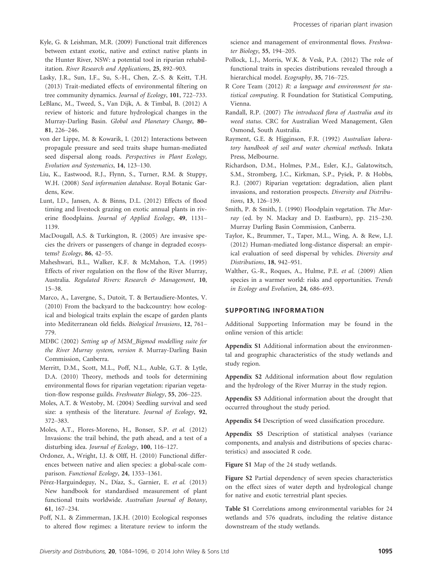- Kyle, G. & Leishman, M.R. (2009) Functional trait differences between extant exotic, native and extinct native plants in the Hunter River, NSW: a potential tool in riparian rehabilitation. River Research and Applications, 25, 892–903.
- Lasky, J.R., Sun, I.F., Su, S.-H., Chen, Z.-S. & Keitt, T.H. (2013) Trait-mediated effects of environmental filtering on tree community dynamics. Journal of Ecology, 101, 722–733.
- LeBlanc, M., Tweed, S., Van Dijk, A. & Timbal, B. (2012) A review of historic and future hydrological changes in the Murray-Darling Basin. Global and Planetary Change, 80– 81, 226–246.
- von der Lippe, M. & Kowarik, I. (2012) Interactions between propagule pressure and seed traits shape human-mediated seed dispersal along roads. Perspectives in Plant Ecology, Evolution and Systematics, 14, 123–130.
- Liu, K., Eastwood, R.J., Flynn, S., Turner, R.M. & Stuppy, W.H. (2008) Seed information database. Royal Botanic Gardens, Kew.
- Lunt, I.D., Jansen, A. & Binns, D.L. (2012) Effects of flood timing and livestock grazing on exotic annual plants in riverine floodplains. Journal of Applied Ecology, 49, 1131– 1139.
- MacDougall, A.S. & Turkington, R. (2005) Are invasive species the drivers or passengers of change in degraded ecosystems? Ecology, 86, 42–55.
- Maheshwari, B.L., Walker, K.F. & McMahon, T.A. (1995) Effects of river regulation on the flow of the River Murray, Australia. Regulated Rivers: Research & Management, 10, 15–38.
- Marco, A., Lavergne, S., Dutoit, T. & Bertaudiere-Montes, V. (2010) From the backyard to the backcountry: how ecological and biological traits explain the escape of garden plants into Mediterranean old fields. Biological Invasions, 12, 761– 779.
- MDBC (2002) Setting up of MSM\_Bigmod modelling suite for the River Murray system, version 8. Murray-Darling Basin Commission, Canberra.
- Merritt, D.M., Scott, M.L., Poff, N.L., Auble, G.T. & Lytle, D.A. (2010) Theory, methods and tools for determining environmental flows for riparian vegetation: riparian vegetation-flow response guilds. Freshwater Biology, 55, 206–225.
- Moles, A.T. & Westoby, M. (2004) Seedling survival and seed size: a synthesis of the literature. Journal of Ecology, 92, 372–383.
- Moles, A.T., Flores-Moreno, H., Bonser, S.P. et al. (2012) Invasions: the trail behind, the path ahead, and a test of a disturbing idea. Journal of Ecology, 100, 116–127.
- Ordonez, A., Wright, I.J. & Olff, H. (2010) Functional differences between native and alien species: a global-scale comparison. Functional Ecology, 24, 1353–1361.
- Pérez-Harguindeguy, N., Díaz, S., Garnier, E. et al. (2013) New handbook for standardised measurement of plant functional traits worldwide. Australian Journal of Botany, 61, 167–234.
- Poff, N.L. & Zimmerman, J.K.H. (2010) Ecological responses to altered flow regimes: a literature review to inform the

science and management of environmental flows. Freshwater Biology, 55, 194–205.

- Pollock, L.J., Morris, W.K. & Vesk, P.A. (2012) The role of functional traits in species distributions revealed through a hierarchical model. Ecography, 35, 716-725.
- R Core Team (2012) R: a language and environment for statistical computing. R Foundation for Statistical Computing, Vienna.
- Randall, R.P. (2007) The introduced flora of Australia and its weed status. CRC for Australian Weed Management, Glen Osmond, South Australia.
- Rayment, G.E. & Higginson, F.R. (1992) Australian laboratory handbook of soil and water chemical methods. Inkata Press, Melbourne.
- Richardson, D.M., Holmes, P.M., Esler, K.J., Galatowitsch, S.M., Stromberg, J.C., Kirkman, S.P., Pysek, P. & Hobbs, R.J. (2007) Riparian vegetation: degradation, alien plant invasions, and restoration prospects. Diversity and Distributions, 13, 126–139.
- Smith, P. & Smith, J. (1990) Floodplain vegetation. The Murray (ed. by N. Mackay and D. Eastburn), pp. 215–230. Murray Darling Basin Commission, Canberra.
- Taylor, K., Brummer, T., Taper, M.L., Wing, A. & Rew, L.J. (2012) Human-mediated long-distance dispersal: an empirical evaluation of seed dispersal by vehicles. Diversity and Distributions, 18, 942–951.
- Walther, G.-R., Roques, A., Hulme, P.E. et al. (2009) Alien species in a warmer world: risks and opportunities. Trends in Ecology and Evolution, 24, 686–693.

## SUPPORTING INFORMATION

Additional Supporting Information may be found in the online version of this article:

Appendix S1 Additional information about the environmental and geographic characteristics of the study wetlands and study region.

Appendix S2 Additional information about flow regulation and the hydrology of the River Murray in the study region.

Appendix S3 Additional information about the drought that occurred throughout the study period.

Appendix S4 Description of weed classification procedure.

Appendix S5 Description of statistical analyses (variance components, and analysis and distributions of species characteristics) and associated R code.

Figure S1 Map of the 24 study wetlands.

Figure S2 Partial dependency of seven species characteristics on the effect sizes of water depth and hydrological change for native and exotic terrestrial plant species.

Table S1 Correlations among environmental variables for 24 wetlands and 576 quadrats, including the relative distance downstream of the study wetlands.